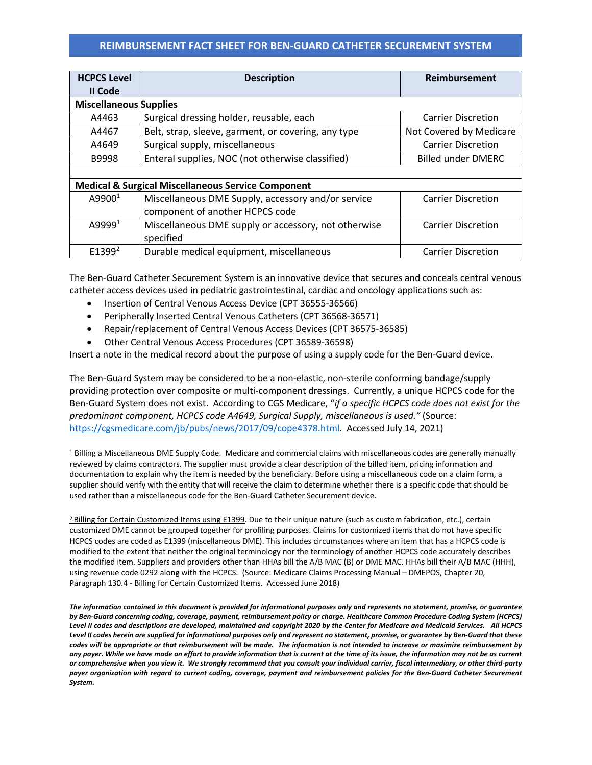## **REIMBURSEMENT FACT SHEET FOR BEN-GUARD CATHETER SECUREMENT SYSTEM**

| <b>HCPCS Level</b>                                            | <b>Description</b>                                                            | <b>Reimbursement</b>      |  |  |
|---------------------------------------------------------------|-------------------------------------------------------------------------------|---------------------------|--|--|
| II Code                                                       |                                                                               |                           |  |  |
| <b>Miscellaneous Supplies</b>                                 |                                                                               |                           |  |  |
| A4463                                                         | Surgical dressing holder, reusable, each                                      | <b>Carrier Discretion</b> |  |  |
| A4467                                                         | Belt, strap, sleeve, garment, or covering, any type                           | Not Covered by Medicare   |  |  |
| A4649                                                         | Surgical supply, miscellaneous<br><b>Carrier Discretion</b>                   |                           |  |  |
| B9998                                                         | Enteral supplies, NOC (not otherwise classified)<br><b>Billed under DMERC</b> |                           |  |  |
|                                                               |                                                                               |                           |  |  |
| <b>Medical &amp; Surgical Miscellaneous Service Component</b> |                                                                               |                           |  |  |
| A9900 <sup>1</sup>                                            | Miscellaneous DME Supply, accessory and/or service                            | <b>Carrier Discretion</b> |  |  |
|                                                               | component of another HCPCS code                                               |                           |  |  |
| A9999 <sup>1</sup>                                            | Miscellaneous DME supply or accessory, not otherwise                          | <b>Carrier Discretion</b> |  |  |
|                                                               | specified                                                                     |                           |  |  |
| E1399 <sup>2</sup>                                            | Durable medical equipment, miscellaneous                                      | <b>Carrier Discretion</b> |  |  |

The Ben-Guard Catheter Securement System is an innovative device that secures and conceals central venous catheter access devices used in pediatric gastrointestinal, cardiac and oncology applications such as:

- Insertion of Central Venous Access Device (CPT 36555-36566)
- Peripherally Inserted Central Venous Catheters (CPT 36568-36571)
- Repair/replacement of Central Venous Access Devices (CPT 36575-36585)
- Other Central Venous Access Procedures (CPT 36589-36598)

Insert a note in the medical record about the purpose of using a supply code for the Ben-Guard device.

The Ben-Guard System may be considered to be a non-elastic, non-sterile conforming bandage/supply providing protection over composite or multi-component dressings. Currently, a unique HCPCS code for the Ben-Guard System does not exist. According to CGS Medicare, "*if a specific HCPCS code does not exist for the predominant component, HCPCS code A4649, Surgical Supply, miscellaneous is used."* (Source: https://cgsmedicare.com/jb/pubs/news/2017/09/cope4378.html. Accessed July 14, 2021)

 $\frac{1}{2}$  Billing a Miscellaneous DME Supply Code. Medicare and commercial claims with miscellaneous codes are generally manually reviewed by claims contractors. The supplier must provide a clear description of the billed item, pricing information and documentation to explain why the item is needed by the beneficiary. Before using a miscellaneous code on a claim form, a supplier should verify with the entity that will receive the claim to determine whether there is a specific code that should be used rather than a miscellaneous code for the Ben-Guard Catheter Securement device.

<sup>2</sup> Billing for Certain Customized Items using E1399. Due to their unique nature (such as custom fabrication, etc.), certain customized DME cannot be grouped together for profiling purposes. Claims for customized items that do not have specific HCPCS codes are coded as E1399 (miscellaneous DME). This includes circumstances where an item that has a HCPCS code is modified to the extent that neither the original terminology nor the terminology of another HCPCS code accurately describes the modified item. Suppliers and providers other than HHAs bill the A/B MAC (B) or DME MAC. HHAs bill their A/B MAC (HHH), using revenue code 0292 along with the HCPCS. (Source: Medicare Claims Processing Manual – DMEPOS, Chapter 20, Paragraph 130.4 - Billing for Certain Customized Items. Accessed June 2018)

*The information contained in this document is provided for informational purposes only and represents no statement, promise, or guarantee by Ben-Guard concerning coding, coverage, payment, reimbursement policy or charge. Healthcare Common Procedure Coding System (HCPCS) Level II codes and descriptions are developed, maintained and copyright 2020 by the Center for Medicare and Medicaid Services. All HCPCS Level II codes herein are supplied for informational purposes only and represent no statement, promise, or guarantee by Ben-Guard that these codes will be appropriate or that reimbursement will be made. The information is not intended to increase or maximize reimbursement by any payer. While we have made an effort to provide information that is current at the time of its issue, the information may not be as current or comprehensive when you view it. We strongly recommend that you consult your individual carrier, fiscal intermediary, or other third-party payer organization with regard to current coding, coverage, payment and reimbursement policies for the Ben-Guard Catheter Securement System.*